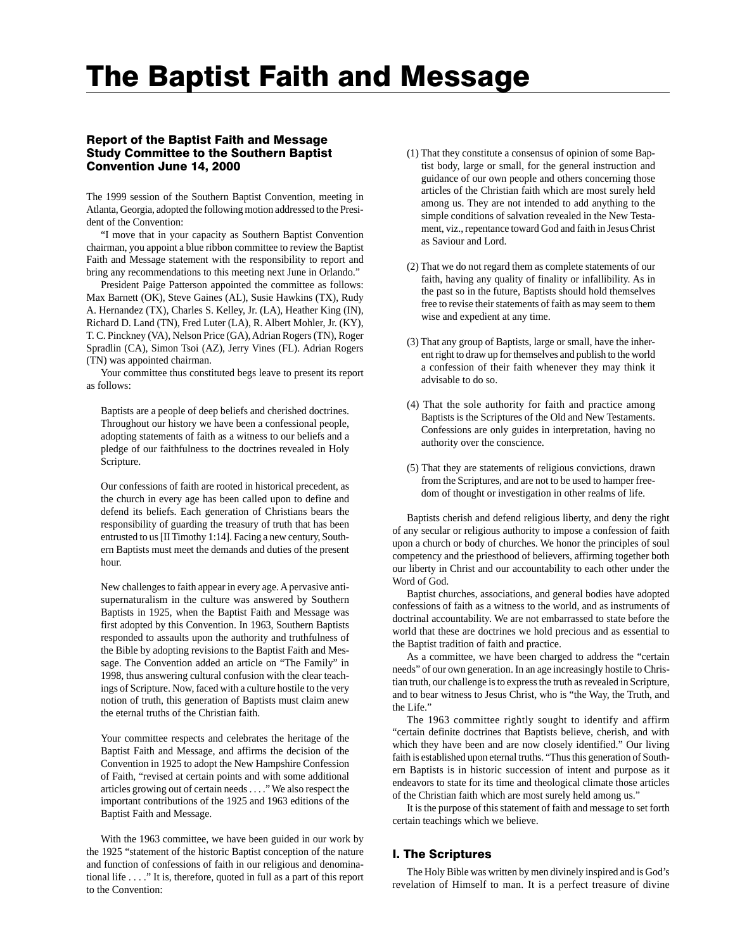# The Baptist Faith and Message

# Report of the Baptist Faith and Message Study Committee to the Southern Baptist Convention June 14, 2000

The 1999 session of the Southern Baptist Convention, meeting in Atlanta, Georgia, adopted the following motion addressed to the President of the Convention:

"I move that in your capacity as Southern Baptist Convention chairman, you appoint a blue ribbon committee to review the Baptist Faith and Message statement with the responsibility to report and bring any recommendations to this meeting next June in Orlando."

President Paige Patterson appointed the committee as follows: Max Barnett (OK), Steve Gaines (AL), Susie Hawkins (TX), Rudy A. Hernandez (TX), Charles S. Kelley, Jr. (LA), Heather King (IN), Richard D. Land (TN), Fred Luter (LA), R. Albert Mohler, Jr. (KY), T. C. Pinckney (VA), Nelson Price (GA), Adrian Rogers (TN), Roger Spradlin (CA), Simon Tsoi (AZ), Jerry Vines (FL). Adrian Rogers (TN) was appointed chairman.

Your committee thus constituted begs leave to present its report as follows:

Baptists are a people of deep beliefs and cherished doctrines. Throughout our history we have been a confessional people, adopting statements of faith as a witness to our beliefs and a pledge of our faithfulness to the doctrines revealed in Holy Scripture.

Our confessions of faith are rooted in historical precedent, as the church in every age has been called upon to define and defend its beliefs. Each generation of Christians bears the responsibility of guarding the treasury of truth that has been entrusted to us [II Timothy 1:14]. Facing a new century, Southern Baptists must meet the demands and duties of the present hour.

New challenges to faith appear in every age. A pervasive antisupernaturalism in the culture was answered by Southern Baptists in 1925, when the Baptist Faith and Message was first adopted by this Convention. In 1963, Southern Baptists responded to assaults upon the authority and truthfulness of the Bible by adopting revisions to the Baptist Faith and Message. The Convention added an article on "The Family" in 1998, thus answering cultural confusion with the clear teachings of Scripture. Now, faced with a culture hostile to the very notion of truth, this generation of Baptists must claim anew the eternal truths of the Christian faith.

Your committee respects and celebrates the heritage of the Baptist Faith and Message, and affirms the decision of the Convention in 1925 to adopt the New Hampshire Confession of Faith, "revised at certain points and with some additional articles growing out of certain needs . . . ." We also respect the important contributions of the 1925 and 1963 editions of the Baptist Faith and Message.

With the 1963 committee, we have been guided in our work by the 1925 "statement of the historic Baptist conception of the nature and function of confessions of faith in our religious and denominational life . . . ." It is, therefore, quoted in full as a part of this report to the Convention:

- (1) That they constitute a consensus of opinion of some Baptist body, large or small, for the general instruction and guidance of our own people and others concerning those articles of the Christian faith which are most surely held among us. They are not intended to add anything to the simple conditions of salvation revealed in the New Testament, viz., repentance toward God and faith in Jesus Christ as Saviour and Lord.
- (2) That we do not regard them as complete statements of our faith, having any quality of finality or infallibility. As in the past so in the future, Baptists should hold themselves free to revise their statements of faith as may seem to them wise and expedient at any time.
- (3) That any group of Baptists, large or small, have the inherent right to draw up for themselves and publish to the world a confession of their faith whenever they may think it advisable to do so.
- (4) That the sole authority for faith and practice among Baptists is the Scriptures of the Old and New Testaments. Confessions are only guides in interpretation, having no authority over the conscience.
- (5) That they are statements of religious convictions, drawn from the Scriptures, and are not to be used to hamper freedom of thought or investigation in other realms of life.

Baptists cherish and defend religious liberty, and deny the right of any secular or religious authority to impose a confession of faith upon a church or body of churches. We honor the principles of soul competency and the priesthood of believers, affirming together both our liberty in Christ and our accountability to each other under the Word of God.

Baptist churches, associations, and general bodies have adopted confessions of faith as a witness to the world, and as instruments of doctrinal accountability. We are not embarrassed to state before the world that these are doctrines we hold precious and as essential to the Baptist tradition of faith and practice.

As a committee, we have been charged to address the "certain needs" of our own generation. In an age increasingly hostile to Christian truth, our challenge is to express the truth as revealed in Scripture, and to bear witness to Jesus Christ, who is "the Way, the Truth, and the Life."

The 1963 committee rightly sought to identify and affirm "certain definite doctrines that Baptists believe, cherish, and with which they have been and are now closely identified." Our living faith is established upon eternal truths. "Thus this generation of Southern Baptists is in historic succession of intent and purpose as it endeavors to state for its time and theological climate those articles of the Christian faith which are most surely held among us."

It is the purpose of this statement of faith and message to set forth certain teachings which we believe.

## I. The Scriptures

The Holy Bible was written by men divinely inspired and is God's revelation of Himself to man. It is a perfect treasure of divine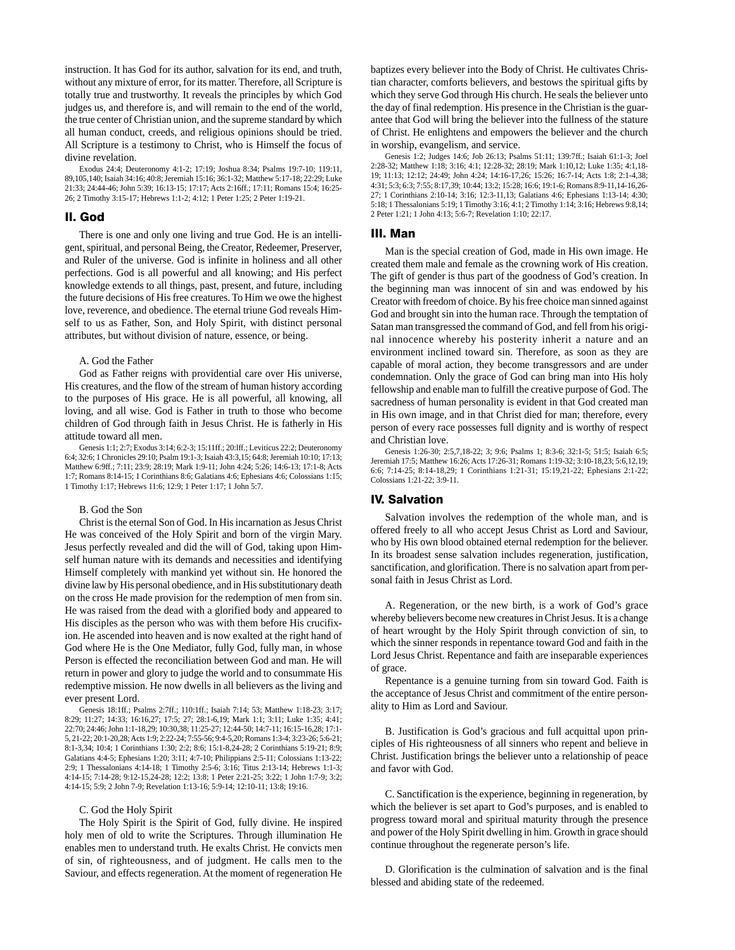instruction. It has God for its author, salvation for its end, and truth, without any mixture of error, for its matter. Therefore, all Scripture is totally true and trustworthy. It reveals the principles by which God judges us, and therefore is, and will remain to the end of the world, the true center of Christian union, and the supreme standard by which all human conduct, creeds, and religious opinions should be tried. All Scripture is a testimony to Christ, who is Himself the focus of divine revelation.

Exodus 24:4; Deuteronomy 4:1-2; 17:19; Joshua 8:34; Psalms 19:7-10; 119:11, 89,105,140; Isaiah 34:16; 40:8; Jeremiah 15:16; 36:1-32; Matthew 5:17-18; 22:29; Luke 21:33; 24:44-46; John 5:39; 16:13-15; 17:17; Acts 2:16ff.; 17:11; Romans 15:4; 16:25- 26; 2 Timothy 3:15-17; Hebrews 1:1-2; 4:12; 1 Peter 1:25; 2 Peter 1:19-21.

#### II. God

There is one and only one living and true God. He is an intelligent, spiritual, and personal Being, the Creator, Redeemer, Preserver, and Ruler of the universe. God is infinite in holiness and all other perfections. God is all powerful and all knowing; and His perfect knowledge extends to all things, past, present, and future, including the future decisions of His free creatures. To Him we owe the highest love, reverence, and obedience. The eternal triune God reveals Himself to us as Father, Son, and Holy Spirit, with distinct personal attributes, but without division of nature, essence, or being.

#### A. God the Father

God as Father reigns with providential care over His universe, His creatures, and the flow of the stream of human history according to the purposes of His grace. He is all powerful, all knowing, all loving, and all wise. God is Father in truth to those who become children of God through faith in Jesus Christ. He is fatherly in His attitude toward all men.

Genesis 1:1; 2:7; Exodus 3:14; 6:2-3; 15:11ff.; 20:lff.; Leviticus 22:2; Deuteronomy 6:4; 32:6; 1 Chronicles 29:10; Psalm 19:1-3; Isaiah 43:3,15; 64:8; Jeremiah 10:10; 17:13; Matthew 6:9ff.; 7:11; 23:9; 28:19; Mark 1:9-11; John 4:24; 5:26; 14:6-13; 17:1-8; Acts 1:7; Romans 8:14-15; 1 Corinthians 8:6; Galatians 4:6; Ephesians 4:6; Colossians 1:15; 1 Timothy 1:17; Hebrews 11:6; 12:9; 1 Peter 1:17; 1 John 5:7.

#### B. God the Son

Christ is the eternal Son of God. In His incarnation as Jesus Christ He was conceived of the Holy Spirit and born of the virgin Mary. Jesus perfectly revealed and did the will of God, taking upon Himself human nature with its demands and necessities and identifying Himself completely with mankind yet without sin. He honored the divine law by His personal obedience, and in His substitutionary death on the cross He made provision for the redemption of men from sin. He was raised from the dead with a glorified body and appeared to His disciples as the person who was with them before His crucifixion. He ascended into heaven and is now exalted at the right hand of God where He is the One Mediator, fully God, fully man, in whose Person is effected the reconciliation between God and man. He will return in power and glory to judge the world and to consummate His redemptive mission. He now dwells in all believers as the living and ever present Lord.

Genesis 18:1ff.; Psalms 2:7ff.; 110:1ff.; Isaiah 7:14; 53; Matthew 1:18-23; 3:17; 8:29; 11:27; 14:33; 16:16,27; 17:5; 27; 28:1-6,19; Mark 1:1; 3:11; Luke 1:35; 4:41; 22:70; 24:46; John 1:1-18,29; 10:30,38; 11:25-27; 12:44-50; 14:7-11; 16:15-16,28; 17:1- 5, 21-22; 20:1-20,28; Acts 1:9; 2:22-24; 7:55-56; 9:4-5,20; Romans 1:3-4; 3:23-26; 5:6-21; 8:1-3,34; 10:4; 1 Corinthians 1:30; 2:2; 8:6; 15:1-8,24-28; 2 Corinthians 5:19-21; 8:9; Galatians 4:4-5; Ephesians 1:20; 3:11; 4:7-10; Philippians 2:5-11; Colossians 1:13-22; 2:9; 1 Thessalonians 4:14-18; 1 Timothy 2:5-6; 3:16; Titus 2:13-14; Hebrews 1:1-3; 4:14-15; 7:14-28; 9:12-15,24-28; 12:2; 13:8; 1 Peter 2:21-25; 3:22; 1 John 1:7-9; 3:2; 4:14-15; 5:9; 2 John 7-9; Revelation 1:13-16; 5:9-14; 12:10-11; 13:8; 19:16.

#### C. God the Holy Spirit

The Holy Spirit is the Spirit of God, fully divine. He inspired holy men of old to write the Scriptures. Through illumination He enables men to understand truth. He exalts Christ. He convicts men of sin, of righteousness, and of judgment. He calls men to the Saviour, and effects regeneration. At the moment of regeneration He baptizes every believer into the Body of Christ. He cultivates Christian character, comforts believers, and bestows the spiritual gifts by which they serve God through His church. He seals the believer unto the day of final redemption. His presence in the Christian is the guarantee that God will bring the believer into the fullness of the stature of Christ. He enlightens and empowers the believer and the church in worship, evangelism, and service.

Genesis 1:2; Judges 14:6; Job 26:13; Psalms 51:11; 139:7ff.; Isaiah 61:1-3; Joel 2:28-32; Matthew 1:18; 3:16; 4:1; 12:28-32; 28:19; Mark 1:10,12; Luke 1:35; 4:1,18- 19; 11:13; 12:12; 24:49; John 4:24; 14:16-17,26; 15:26; 16:7-14; Acts 1:8; 2:1-4,38; 4:31; 5:3; 6:3; 7:55; 8:17,39; 10:44; 13:2; 15:28; 16:6; 19:1-6; Romans 8:9-11,14-16,26- 27; 1 Corinthians 2:10-14; 3:16; 12:3-11,13; Galatians 4:6; Ephesians 1:13-14; 4:30; 5:18; 1 Thessalonians 5:19; 1 Timothy 3:16; 4:1; 2 Timothy 1:14; 3:16; Hebrews 9:8,14; 2 Peter 1:21; 1 John 4:13; 5:6-7; Revelation 1:10; 22:17.

#### III. Man

Man is the special creation of God, made in His own image. He created them male and female as the crowning work of His creation. The gift of gender is thus part of the goodness of God's creation. In the beginning man was innocent of sin and was endowed by his Creator with freedom of choice. By his free choice man sinned against God and brought sin into the human race. Through the temptation of Satan man transgressed the command of God, and fell from his original innocence whereby his posterity inherit a nature and an environment inclined toward sin. Therefore, as soon as they are capable of moral action, they become transgressors and are under condemnation. Only the grace of God can bring man into His holy fellowship and enable man to fulfill the creative purpose of God. The sacredness of human personality is evident in that God created man in His own image, and in that Christ died for man; therefore, every person of every race possesses full dignity and is worthy of respect and Christian love.

Genesis 1:26-30; 2:5,7,18-22; 3; 9:6; Psalms 1; 8:3-6; 32:1-5; 51:5; Isaiah 6:5; Jeremiah 17:5; Matthew 16:26; Acts 17:26-31; Romans 1:19-32; 3:10-18,23; 5:6,12,19; 6:6; 7:14-25; 8:14-18,29; 1 Corinthians 1:21-31; 15:19,21-22; Ephesians 2:1-22; Colossians 1:21-22; 3:9-11.

### IV. Salvation

Salvation involves the redemption of the whole man, and is offered freely to all who accept Jesus Christ as Lord and Saviour, who by His own blood obtained eternal redemption for the believer. In its broadest sense salvation includes regeneration, justification, sanctification, and glorification. There is no salvation apart from personal faith in Jesus Christ as Lord.

A. Regeneration, or the new birth, is a work of God's grace whereby believers become new creatures in Christ Jesus. It is a change of heart wrought by the Holy Spirit through conviction of sin, to which the sinner responds in repentance toward God and faith in the Lord Jesus Christ. Repentance and faith are inseparable experiences of grace.

Repentance is a genuine turning from sin toward God. Faith is the acceptance of Jesus Christ and commitment of the entire personality to Him as Lord and Saviour.

B. Justification is God's gracious and full acquittal upon principles of His righteousness of all sinners who repent and believe in Christ. Justification brings the believer unto a relationship of peace and favor with God.

C. Sanctification is the experience, beginning in regeneration, by which the believer is set apart to God's purposes, and is enabled to progress toward moral and spiritual maturity through the presence and power of the Holy Spirit dwelling in him. Growth in grace should continue throughout the regenerate person's life.

D. Glorification is the culmination of salvation and is the final blessed and abiding state of the redeemed.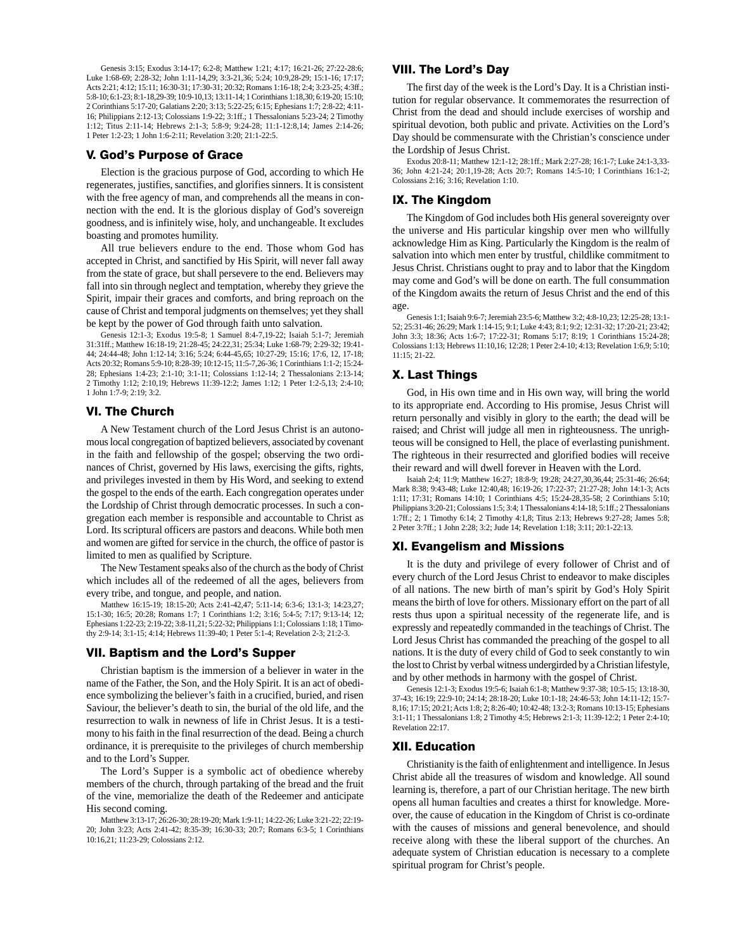Genesis 3:15; Exodus 3:14-17; 6:2-8; Matthew 1:21; 4:17; 16:21-26; 27:22-28:6; Luke 1:68-69; 2:28-32; John 1:11-14,29; 3:3-21,36; 5:24; 10:9,28-29; 15:1-16; 17:17; Acts 2:21; 4:12; 15:11; 16:30-31; 17:30-31; 20:32; Romans 1:16-18; 2:4; 3:23-25; 4:3ff.; 5:8-10; 6:1-23; 8:1-18,29-39; 10:9-10,13; 13:11-14; 1 Corinthians 1:18,30; 6:19-20; 15:10; 2 Corinthians 5:17-20; Galatians 2:20; 3:13; 5:22-25; 6:15; Ephesians 1:7; 2:8-22; 4:11- 16; Philippians 2:12-13; Colossians 1:9-22; 3:1ff.; 1 Thessalonians 5:23-24; 2 Timothy 1:12; Titus 2:11-14; Hebrews 2:1-3; 5:8-9; 9:24-28; 11:1-12:8,14; James 2:14-26; 1 Peter 1:2-23; 1 John 1:6-2:11; Revelation 3:20; 21:1-22:5.

#### V. God's Purpose of Grace

Election is the gracious purpose of God, according to which He regenerates, justifies, sanctifies, and glorifies sinners. It is consistent with the free agency of man, and comprehends all the means in connection with the end. It is the glorious display of God's sovereign goodness, and is infinitely wise, holy, and unchangeable. It excludes boasting and promotes humility.

All true believers endure to the end. Those whom God has accepted in Christ, and sanctified by His Spirit, will never fall away from the state of grace, but shall persevere to the end. Believers may fall into sin through neglect and temptation, whereby they grieve the Spirit, impair their graces and comforts, and bring reproach on the cause of Christ and temporal judgments on themselves; yet they shall be kept by the power of God through faith unto salvation.

Genesis 12:1-3; Exodus 19:5-8; 1 Samuel 8:4-7,19-22; Isaiah 5:1-7; Jeremiah 31:31ff.; Matthew 16:18-19; 21:28-45; 24:22,31; 25:34; Luke 1:68-79; 2:29-32; 19:41- 44; 24:44-48; John 1:12-14; 3:16; 5:24; 6:44-45,65; 10:27-29; 15:16; 17:6, 12, 17-18; Acts 20:32; Romans 5:9-10; 8:28-39; 10:12-15; 11:5-7,26-36; 1 Corinthians 1:1-2; 15:24- 28; Ephesians 1:4-23; 2:1-10; 3:1-11; Colossians 1:12-14; 2 Thessalonians 2:13-14; 2 Timothy 1:12; 2:10,19; Hebrews 11:39-12:2; James 1:12; 1 Peter 1:2-5,13; 2:4-10; 1 John 1:7-9; 2:19; 3:2.

## VI. The Church

A New Testament church of the Lord Jesus Christ is an autonomous local congregation of baptized believers, associated by covenant in the faith and fellowship of the gospel; observing the two ordinances of Christ, governed by His laws, exercising the gifts, rights, and privileges invested in them by His Word, and seeking to extend the gospel to the ends of the earth. Each congregation operates under the Lordship of Christ through democratic processes. In such a congregation each member is responsible and accountable to Christ as Lord. Its scriptural officers are pastors and deacons. While both men and women are gifted for service in the church, the office of pastor is limited to men as qualified by Scripture.

The New Testament speaks also of the church as the body of Christ which includes all of the redeemed of all the ages, believers from every tribe, and tongue, and people, and nation.

Matthew 16:15-19; 18:15-20; Acts 2:41-42,47; 5:11-14; 6:3-6; 13:1-3; 14:23,27; 15:1-30; 16:5; 20:28; Romans 1:7; 1 Corinthians 1:2; 3:16; 5:4-5; 7:17; 9:13-14; 12; Ephesians 1:22-23; 2:19-22; 3:8-11,21; 5:22-32; Philippians 1:1; Colossians 1:18; 1 Timothy 2:9-14; 3:1-15; 4:14; Hebrews 11:39-40; 1 Peter 5:1-4; Revelation 2-3; 21:2-3.

## VII. Baptism and the Lord's Supper

Christian baptism is the immersion of a believer in water in the name of the Father, the Son, and the Holy Spirit. It is an act of obedience symbolizing the believer's faith in a crucified, buried, and risen Saviour, the believer's death to sin, the burial of the old life, and the resurrection to walk in newness of life in Christ Jesus. It is a testimony to his faith in the final resurrection of the dead. Being a church ordinance, it is prerequisite to the privileges of church membership and to the Lord's Supper.

The Lord's Supper is a symbolic act of obedience whereby members of the church, through partaking of the bread and the fruit of the vine, memorialize the death of the Redeemer and anticipate His second coming.

Matthew 3:13-17; 26:26-30; 28:19-20; Mark 1:9-11; 14:22-26; Luke 3:21-22; 22:19- 20; John 3:23; Acts 2:41-42; 8:35-39; 16:30-33; 20:7; Romans 6:3-5; 1 Corinthians 10:16,21; 11:23-29; Colossians 2:12.

## VIII. The Lord's Day

The first day of the week is the Lord's Day. It is a Christian institution for regular observance. It commemorates the resurrection of Christ from the dead and should include exercises of worship and spiritual devotion, both public and private. Activities on the Lord's Day should be commensurate with the Christian's conscience under the Lordship of Jesus Christ.

Exodus 20:8-11; Matthew 12:1-12; 28:1ff.; Mark 2:27-28; 16:1-7; Luke 24:1-3,33- 36; John 4:21-24; 20:1,19-28; Acts 20:7; Romans 14:5-10; I Corinthians 16:1-2; Colossians 2:16; 3:16; Revelation 1:10.

## IX. The Kingdom

The Kingdom of God includes both His general sovereignty over the universe and His particular kingship over men who willfully acknowledge Him as King. Particularly the Kingdom is the realm of salvation into which men enter by trustful, childlike commitment to Jesus Christ. Christians ought to pray and to labor that the Kingdom may come and God's will be done on earth. The full consummation of the Kingdom awaits the return of Jesus Christ and the end of this age.

Genesis 1:1; Isaiah 9:6-7; Jeremiah 23:5-6; Matthew 3:2; 4:8-10,23; 12:25-28; 13:1- 52; 25:31-46; 26:29; Mark 1:14-15; 9:1; Luke 4:43; 8:1; 9:2; 12:31-32; 17:20-21; 23:42; John 3:3; 18:36; Acts 1:6-7; 17:22-31; Romans 5:17; 8:19; 1 Corinthians 15:24-28; Colossians 1:13; Hebrews 11:10,16; 12:28; 1 Peter 2:4-10; 4:13; Revelation 1:6,9; 5:10; 11:15; 21-22.

## X. Last Things

God, in His own time and in His own way, will bring the world to its appropriate end. According to His promise, Jesus Christ will return personally and visibly in glory to the earth; the dead will be raised; and Christ will judge all men in righteousness. The unrighteous will be consigned to Hell, the place of everlasting punishment. The righteous in their resurrected and glorified bodies will receive their reward and will dwell forever in Heaven with the Lord.

Isaiah 2:4; 11:9; Matthew 16:27; 18:8-9; 19:28; 24:27,30,36,44; 25:31-46; 26:64; Mark 8:38; 9:43-48; Luke 12:40,48; 16:19-26; 17:22-37; 21:27-28; John 14:1-3; Acts 1:11; 17:31; Romans 14:10; 1 Corinthians 4:5; 15:24-28,35-58; 2 Corinthians 5:10; Philippians 3:20-21; Colossians 1:5; 3:4; 1 Thessalonians 4:14-18; 5:1ff.; 2 Thessalonians 1:7ff.; 2; 1 Timothy 6:14; 2 Timothy 4:1,8; Titus 2:13; Hebrews 9:27-28; James 5:8; 2 Peter 3:7ff.; 1 John 2:28; 3:2; Jude 14; Revelation 1:18; 3:11; 20:1-22:13.

#### XI. Evangelism and Missions

It is the duty and privilege of every follower of Christ and of every church of the Lord Jesus Christ to endeavor to make disciples of all nations. The new birth of man's spirit by God's Holy Spirit means the birth of love for others. Missionary effort on the part of all rests thus upon a spiritual necessity of the regenerate life, and is expressly and repeatedly commanded in the teachings of Christ. The Lord Jesus Christ has commanded the preaching of the gospel to all nations. It is the duty of every child of God to seek constantly to win the lost to Christ by verbal witness undergirded by a Christian lifestyle, and by other methods in harmony with the gospel of Christ.

Genesis 12:1-3; Exodus 19:5-6; Isaiah 6:1-8; Matthew 9:37-38; 10:5-15; 13:18-30, 37-43; 16:19; 22:9-10; 24:14; 28:18-20; Luke 10:1-18; 24:46-53; John 14:11-12; 15:7- 8,16; 17:15; 20:21; Acts 1:8; 2; 8:26-40; 10:42-48; 13:2-3; Romans 10:13-15; Ephesians 3:1-11; 1 Thessalonians 1:8; 2 Timothy 4:5; Hebrews 2:1-3; 11:39-12:2; 1 Peter 2:4-10; Revelation 22:17.

#### XII. Education

Christianity is the faith of enlightenment and intelligence. In Jesus Christ abide all the treasures of wisdom and knowledge. All sound learning is, therefore, a part of our Christian heritage. The new birth opens all human faculties and creates a thirst for knowledge. Moreover, the cause of education in the Kingdom of Christ is co-ordinate with the causes of missions and general benevolence, and should receive along with these the liberal support of the churches. An adequate system of Christian education is necessary to a complete spiritual program for Christ's people.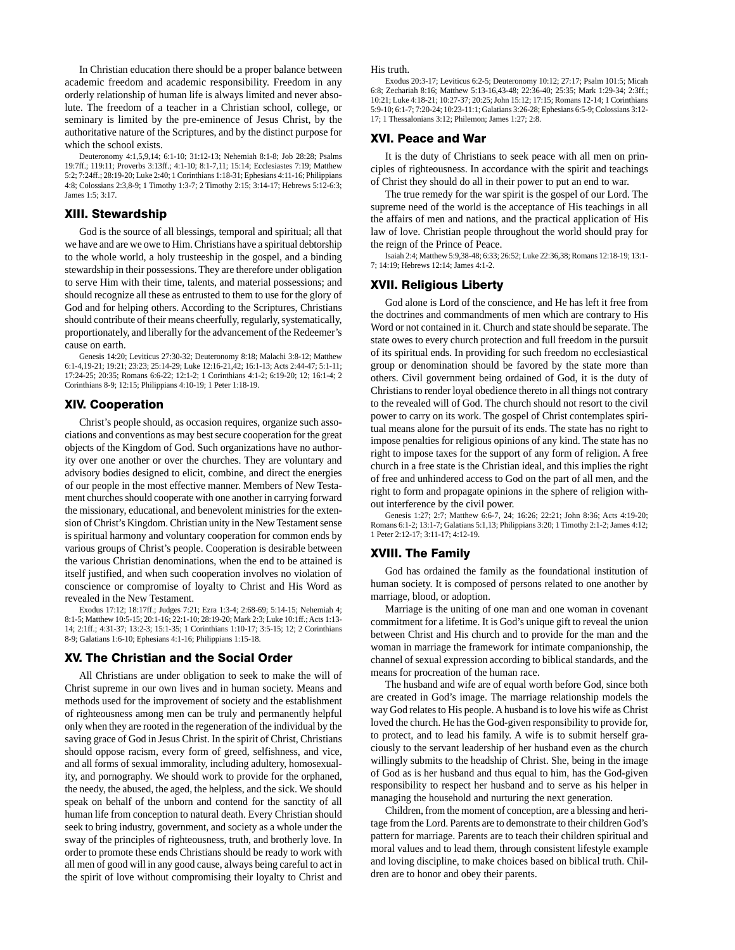In Christian education there should be a proper balance between academic freedom and academic responsibility. Freedom in any orderly relationship of human life is always limited and never absolute. The freedom of a teacher in a Christian school, college, or seminary is limited by the pre-eminence of Jesus Christ, by the authoritative nature of the Scriptures, and by the distinct purpose for which the school exists.

Deuteronomy 4:1,5,9,14; 6:1-10; 31:12-13; Nehemiah 8:1-8; Job 28:28; Psalms 19:7ff.; 119:11; Proverbs 3:13ff.; 4:1-10; 8:1-7,11; 15:14; Ecclesiastes 7:19; Matthew 5:2; 7:24ff.; 28:19-20; Luke 2:40; 1 Corinthians 1:18-31; Ephesians 4:11-16; Philippians 4:8; Colossians 2:3,8-9; 1 Timothy 1:3-7; 2 Timothy 2:15; 3:14-17; Hebrews 5:12-6:3; James 1:5; 3:17.

## XIII. Stewardship

God is the source of all blessings, temporal and spiritual; all that we have and are we owe to Him. Christians have a spiritual debtorship to the whole world, a holy trusteeship in the gospel, and a binding stewardship in their possessions. They are therefore under obligation to serve Him with their time, talents, and material possessions; and should recognize all these as entrusted to them to use for the glory of God and for helping others. According to the Scriptures, Christians should contribute of their means cheerfully, regularly, systematically, proportionately, and liberally for the advancement of the Redeemer's cause on earth.

Genesis 14:20; Leviticus 27:30-32; Deuteronomy 8:18; Malachi 3:8-12; Matthew 6:1-4,19-21; 19:21; 23:23; 25:14-29; Luke 12:16-21,42; 16:1-13; Acts 2:44-47; 5:1-11; 17:24-25; 20:35; Romans 6:6-22; 12:1-2; 1 Corinthians 4:1-2; 6:19-20; 12; 16:1-4; 2 Corinthians 8-9; 12:15; Philippians 4:10-19; 1 Peter 1:18-19.

### XIV. Cooperation

Christ's people should, as occasion requires, organize such associations and conventions as may best secure cooperation for the great objects of the Kingdom of God. Such organizations have no authority over one another or over the churches. They are voluntary and advisory bodies designed to elicit, combine, and direct the energies of our people in the most effective manner. Members of New Testament churches should cooperate with one another in carrying forward the missionary, educational, and benevolent ministries for the extension of Christ's Kingdom. Christian unity in the New Testament sense is spiritual harmony and voluntary cooperation for common ends by various groups of Christ's people. Cooperation is desirable between the various Christian denominations, when the end to be attained is itself justified, and when such cooperation involves no violation of conscience or compromise of loyalty to Christ and His Word as revealed in the New Testament.

Exodus 17:12; 18:17ff.; Judges 7:21; Ezra 1:3-4; 2:68-69; 5:14-15; Nehemiah 4; 8:1-5; Matthew 10:5-15; 20:1-16; 22:1-10; 28:19-20; Mark 2:3; Luke 10:1ff.; Acts 1:13- 14; 2:1ff.; 4:31-37; 13:2-3; 15:1-35; 1 Corinthians 1:10-17; 3:5-15; 12; 2 Corinthians 8-9; Galatians 1:6-10; Ephesians 4:1-16; Philippians 1:15-18.

#### XV. The Christian and the Social Order

All Christians are under obligation to seek to make the will of Christ supreme in our own lives and in human society. Means and methods used for the improvement of society and the establishment of righteousness among men can be truly and permanently helpful only when they are rooted in the regeneration of the individual by the saving grace of God in Jesus Christ. In the spirit of Christ, Christians should oppose racism, every form of greed, selfishness, and vice, and all forms of sexual immorality, including adultery, homosexuality, and pornography. We should work to provide for the orphaned, the needy, the abused, the aged, the helpless, and the sick. We should speak on behalf of the unborn and contend for the sanctity of all human life from conception to natural death. Every Christian should seek to bring industry, government, and society as a whole under the sway of the principles of righteousness, truth, and brotherly love. In order to promote these ends Christians should be ready to work with all men of good will in any good cause, always being careful to act in the spirit of love without compromising their loyalty to Christ and

#### His truth.

Exodus 20:3-17; Leviticus 6:2-5; Deuteronomy 10:12; 27:17; Psalm 101:5; Micah 6:8; Zechariah 8:16; Matthew 5:13-16,43-48; 22:36-40; 25:35; Mark 1:29-34; 2:3ff.; 10:21; Luke 4:18-21; 10:27-37; 20:25; John 15:12; 17:15; Romans 12-14; 1 Corinthians 5:9-10; 6:1-7; 7:20-24; 10:23-11:1; Galatians 3:26-28; Ephesians 6:5-9; Colossians 3:12- 17; 1 Thessalonians 3:12; Philemon; James 1:27; 2:8.

## XVI. Peace and War

It is the duty of Christians to seek peace with all men on principles of righteousness. In accordance with the spirit and teachings of Christ they should do all in their power to put an end to war.

The true remedy for the war spirit is the gospel of our Lord. The supreme need of the world is the acceptance of His teachings in all the affairs of men and nations, and the practical application of His law of love. Christian people throughout the world should pray for the reign of the Prince of Peace.

Isaiah 2:4; Matthew 5:9,38-48; 6:33; 26:52; Luke 22:36,38; Romans 12:18-19; 13:1- 7; 14:19; Hebrews 12:14; James 4:1-2.

## XVII. Religious Liberty

God alone is Lord of the conscience, and He has left it free from the doctrines and commandments of men which are contrary to His Word or not contained in it. Church and state should be separate. The state owes to every church protection and full freedom in the pursuit of its spiritual ends. In providing for such freedom no ecclesiastical group or denomination should be favored by the state more than others. Civil government being ordained of God, it is the duty of Christians to render loyal obedience thereto in all things not contrary to the revealed will of God. The church should not resort to the civil power to carry on its work. The gospel of Christ contemplates spiritual means alone for the pursuit of its ends. The state has no right to impose penalties for religious opinions of any kind. The state has no right to impose taxes for the support of any form of religion. A free church in a free state is the Christian ideal, and this implies the right of free and unhindered access to God on the part of all men, and the right to form and propagate opinions in the sphere of religion without interference by the civil power.

Genesis 1:27; 2:7; Matthew 6:6-7, 24; 16:26; 22:21; John 8:36; Acts 4:19-20; Romans 6:1-2; 13:1-7; Galatians 5:1,13; Philippians 3:20; 1 Timothy 2:1-2; James 4:12; 1 Peter 2:12-17; 3:11-17; 4:12-19.

## XVIII. The Family

God has ordained the family as the foundational institution of human society. It is composed of persons related to one another by marriage, blood, or adoption.

Marriage is the uniting of one man and one woman in covenant commitment for a lifetime. It is God's unique gift to reveal the union between Christ and His church and to provide for the man and the woman in marriage the framework for intimate companionship, the channel of sexual expression according to biblical standards, and the means for procreation of the human race.

The husband and wife are of equal worth before God, since both are created in God's image. The marriage relationship models the way God relates to His people. A husband is to love his wife as Christ loved the church. He has the God-given responsibility to provide for, to protect, and to lead his family. A wife is to submit herself graciously to the servant leadership of her husband even as the church willingly submits to the headship of Christ. She, being in the image of God as is her husband and thus equal to him, has the God-given responsibility to respect her husband and to serve as his helper in managing the household and nurturing the next generation.

Children, from the moment of conception, are a blessing and heritage from the Lord. Parents are to demonstrate to their children God's pattern for marriage. Parents are to teach their children spiritual and moral values and to lead them, through consistent lifestyle example and loving discipline, to make choices based on biblical truth. Children are to honor and obey their parents.